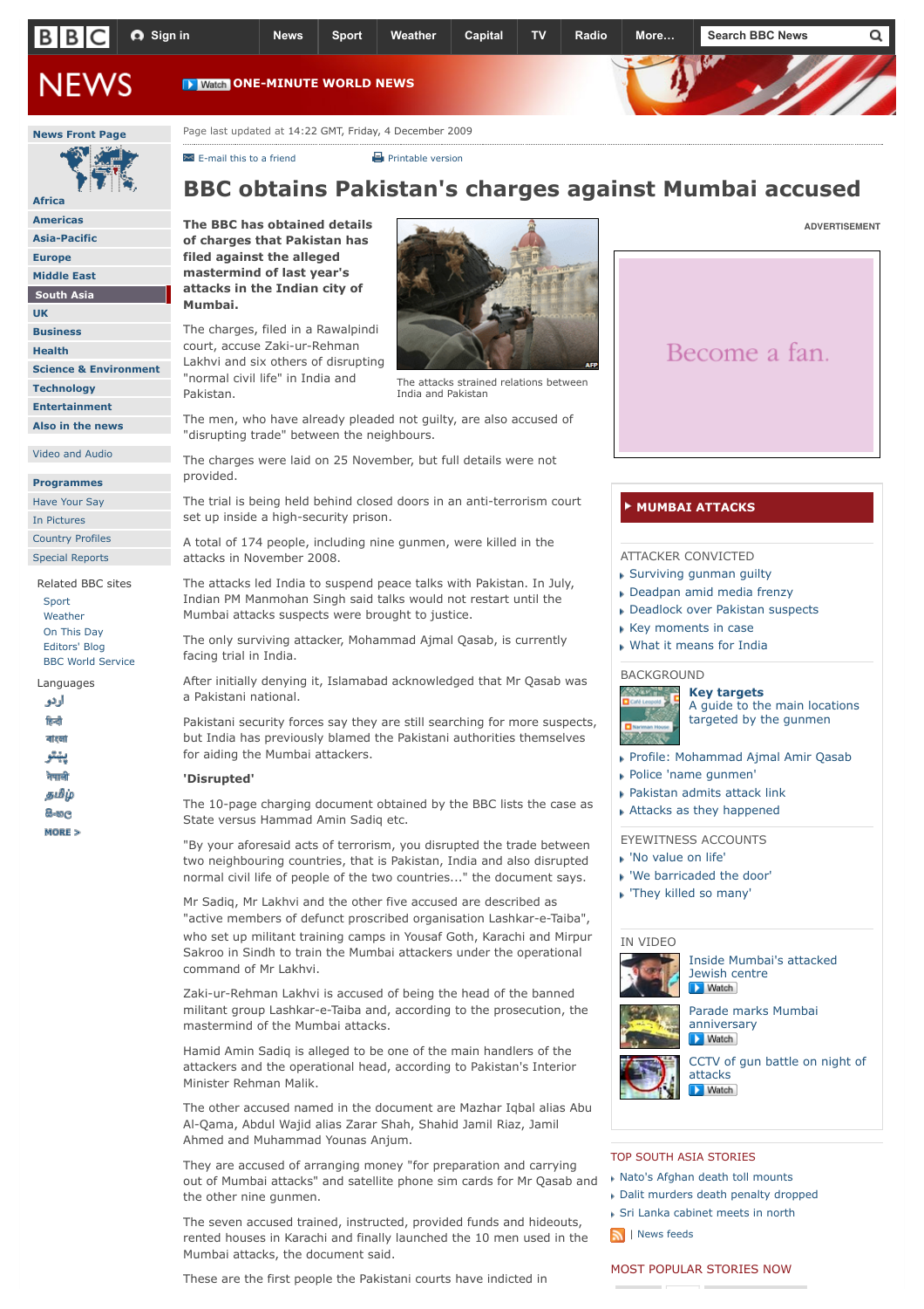

[E-mail this to a friend](http://newsvote.bbc.co.uk/mpapps/pagetools/email/news.bbc.co.uk/2/hi/south_asia/8394554.stm) **[Printable version](http://newsvote.bbc.co.uk/mpapps/pagetools/print/news.bbc.co.uk/2/hi/south_asia/8394554.stm?ad=1)** 

# **BBC obtains Pakistan's charges against Mumbai accused**

**The BBC has obtained details of charges that Pakistan has filed against the alleged mastermind of last year's attacks in the Indian city of Mumbai.**

**[Africa](http://news.bbc.co.uk/2/hi/africa/default.stm) [Americas](http://news.bbc.co.uk/2/hi/americas/default.stm) [Asia-Pacific](http://news.bbc.co.uk/2/hi/asia-pacific/default.stm) [Europe](http://news.bbc.co.uk/2/hi/europe/default.stm) [Middle East](http://news.bbc.co.uk/2/hi/middle_east/default.stm) [South Asia](http://news.bbc.co.uk/2/hi/south_asia/default.stm) [UK](http://news.bbc.co.uk/2/hi/uk_news/default.stm) [Business](http://news.bbc.co.uk/2/hi/business/default.stm) [Health](http://news.bbc.co.uk/2/hi/health/default.stm)**

**[Science & Environment](http://news.bbc.co.uk/2/hi/science/nature/default.stm)**

**[Technology](http://news.bbc.co.uk/2/hi/technology/default.stm) [Entertainment](http://news.bbc.co.uk/2/hi/entertainment/default.stm) [Also in the news](http://news.bbc.co.uk/2/hi/also_in_the_news/default.stm)** [Video and Audio](http://news.bbc.co.uk/2/hi/video_and_audio/default.stm) **[Programmes](http://news.bbc.co.uk/2/hi/programmes/default.stm)** [Have Your Say](http://news.bbc.co.uk/2/hi/talking_point/default.stm) [In Pictures](http://news.bbc.co.uk/2/hi/in_pictures/default.stm) [Country Profiles](http://news.bbc.co.uk/2/hi/country_profiles/default.stm) [Special Reports](http://news.bbc.co.uk/2/hi/in_depth/default.stm) Related BBC sites

> [Sport](http://news.bbc.co.uk/sport1/hi/default.stm) [Weather](http://www.bbc.co.uk/weather/) [On This Day](http://www.bbc.co.uk/onthisday) [Editors' Blog](http://www.bbc.co.uk/blogs/theeditors/) [BBC World Service](http://www.bbc.co.uk/worldservice/)

Languages

اردو .<br>रिन्दी बारबा يهتو नेपाली தமிழ் **B-uc** MORE 5 The charges, filed in a Rawalpindi court, accuse Zaki-ur-Rehman Lakhvi and six others of disrupting "normal civil life" in India and Pakistan.



The attacks strained relations between India and Pakistan

The men, who have already pleaded not guilty, are also accused of "disrupting trade" between the neighbours.

The charges were laid on 25 November, but full details were not provided.

The trial is being held behind closed doors in an anti-terrorism court set up inside a high-security prison.

A total of 174 people, including nine gunmen, were killed in the attacks in November 2008.

The attacks led India to suspend peace talks with Pakistan. In July, Indian PM Manmohan Singh said talks would not restart until the Mumbai attacks suspects were brought to justice.

The only surviving attacker, Mohammad Ajmal Qasab, is currently facing trial in India.

After initially denying it, Islamabad acknowledged that Mr Qasab was a Pakistani national.

Pakistani security forces say they are still searching for more suspects, but India has previously blamed the Pakistani authorities themselves for aiding the Mumbai attackers.

### **'Disrupted'**

The 10-page charging document obtained by the BBC lists the case as State versus Hammad Amin Sadiq etc.

"By your aforesaid acts of terrorism, you disrupted the trade between two neighbouring countries, that is Pakistan, India and also disrupted normal civil life of people of the two countries..." the document says.

Mr Sadiq, Mr Lakhvi and the other five accused are described as "active members of defunct proscribed organisation Lashkar-e-Taiba", who set up militant training camps in Yousaf Goth, Karachi and Mirpur Sakroo in Sindh to train the Mumbai attackers under the operational command of Mr Lakhvi.

Zaki-ur-Rehman Lakhvi is accused of being the head of the banned militant group Lashkar-e-Taiba and, according to the prosecution, the mastermind of the Mumbai attacks.

Hamid Amin Sadiq is alleged to be one of the main handlers of the attackers and the operational head, according to Pakistan's Interior Minister Rehman Malik.

The other accused named in the document are Mazhar Iqbal alias Abu Al-Qama, Abdul Wajid alias Zarar Shah, Shahid Jamil Riaz, Jamil Ahmed and Muhammad Younas Anjum.

They are accused of arranging money "for preparation and carrying out of Mumbai attacks" and satellite phone sim cards for Mr Qasab and the other nine gunmen.

The seven accused trained, instructed, provided funds and hideouts, rented houses in Karachi and finally launched the 10 men used in the Mumbai attacks, the document said.

These are the first people the Pakistani courts have indicted in



**[ADVERTISEMENT](http://www.bbc.co.uk/faqs/online/adverts_general)**

## **[MUMBAI ATTACKS](http://news.bbc.co.uk/2/hi/in_depth/south_asia/2008/mumbai_attacks/default.stm)**

## ATTACKER CONVICTED

- [Surviving gunman guilty](http://news.bbc.co.uk/2/hi/south_asia/8657642.stm)
- [Deadpan amid media frenzy](http://news.bbc.co.uk/2/hi/south_asia/8658066.stm)
- [Deadlock over Pakistan suspects](http://news.bbc.co.uk/2/hi/south_asia/8658038.stm)
- [Key moments in case](http://news.bbc.co.uk/2/hi/south_asia/8158913.stm)
- [What it means for India](http://www.bbc.co.uk/blogs/thereporters/soutikbiswas/)

## **BACKGROUND**



**[Key targets](http://news.bbc.co.uk/2/hi/south_asia/7751876.stm)** [A guide to the main locations](http://news.bbc.co.uk/2/hi/south_asia/7751876.stm) targeted by the gunmen

- [Profile: Mohammad Ajmal Amir Qasab](http://news.bbc.co.uk/2/hi/south_asia/8159077.stm)
- [Police 'name gunmen'](http://news.bbc.co.uk/2/hi/south_asia/7773927.stm)
- [Pakistan admits attack link](http://news.bbc.co.uk/2/hi/south_asia/7885261.stm)
- [Attacks as they happened](http://news.bbc.co.uk/2/hi/south_asia/7756073.stm)

EYEWITNESS ACCOUNTS

- ['No value on life'](http://news.bbc.co.uk/2/hi/south_asia/7756616.stm)
- ['We barricaded the door'](http://news.bbc.co.uk/2/hi/south_asia/7754631.stm)
- ['They killed so many'](http://news.bbc.co.uk/2/hi/south_asia/7751752.stm)

### IN VIDEO



[Inside Mumbai's attacked](http://news.bbc.co.uk/2/hi/south_asia/8379392.stm) Jewish centre



[Parade marks Mumbai](http://news.bbc.co.uk/2/hi/south_asia/8380073.stm) anniversary

**Natch** [CCTV of gun battle on night of](http://news.bbc.co.uk/2/hi/south_asia/7760690.stm)

attacks **Natch** 

#### [TOP SOUTH ASIA STORIES](http://news.bbc.co.uk/2/hi/south_asia/default.stm)

- [Nato's Afghan death toll mounts](http://news.bbc.co.uk/news/10633834)
- [Dalit murders death penalty dropped](http://news.bbc.co.uk/news/10627073)
- [Sri Lanka cabinet meets in north](http://news.bbc.co.uk/news/world-south+asia-10630548)
- | [News feeds](http://news.bbc.co.uk/1/hi/help/3223484.stm?rss=/rss/newsonline_world_edition/south_asia/rss.xml)